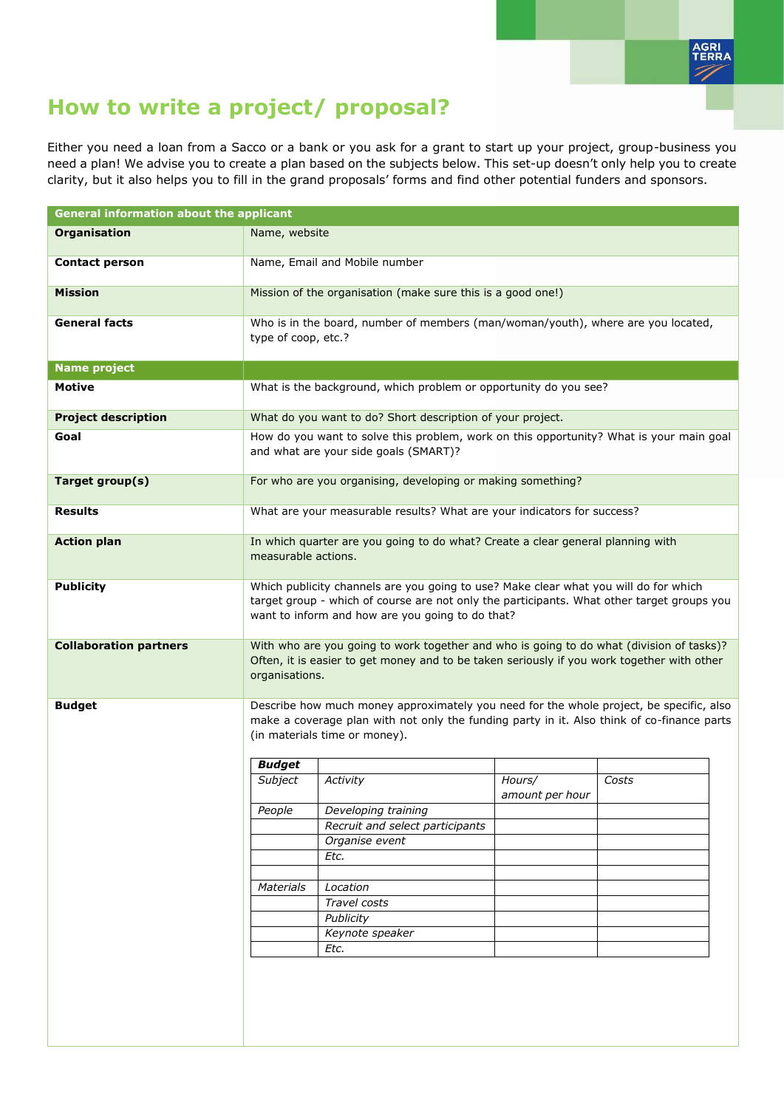

## **How to write a project/ proposal?**

Either you need a loan from a Sacco or a bank or you ask for a grant to start up your project, group-business you need a plan! We advise you to create a plan based on the subjects below. This set-up doesn't only help you to create clarity, but it also helps you to fill in the grand proposals' forms and find other potential funders and sponsors.

| <b>General information about the applicant</b> |                                                                                                                                                                                                                                        |                                                                                  |                           |       |  |
|------------------------------------------------|----------------------------------------------------------------------------------------------------------------------------------------------------------------------------------------------------------------------------------------|----------------------------------------------------------------------------------|---------------------------|-------|--|
| <b>Organisation</b>                            | Name, website                                                                                                                                                                                                                          |                                                                                  |                           |       |  |
| <b>Contact person</b>                          | Name, Email and Mobile number                                                                                                                                                                                                          |                                                                                  |                           |       |  |
| <b>Mission</b>                                 | Mission of the organisation (make sure this is a good one!)                                                                                                                                                                            |                                                                                  |                           |       |  |
| <b>General facts</b>                           | type of coop, etc.?                                                                                                                                                                                                                    | Who is in the board, number of members (man/woman/youth), where are you located, |                           |       |  |
| <b>Name project</b>                            |                                                                                                                                                                                                                                        |                                                                                  |                           |       |  |
| <b>Motive</b>                                  |                                                                                                                                                                                                                                        | What is the background, which problem or opportunity do you see?                 |                           |       |  |
| <b>Project description</b>                     | What do you want to do? Short description of your project.                                                                                                                                                                             |                                                                                  |                           |       |  |
| Goal                                           | How do you want to solve this problem, work on this opportunity? What is your main goal<br>and what are your side goals (SMART)?                                                                                                       |                                                                                  |                           |       |  |
| Target group(s)                                | For who are you organising, developing or making something?                                                                                                                                                                            |                                                                                  |                           |       |  |
| <b>Results</b>                                 | What are your measurable results? What are your indicators for success?                                                                                                                                                                |                                                                                  |                           |       |  |
| <b>Action plan</b>                             | In which quarter are you going to do what? Create a clear general planning with<br>measurable actions.                                                                                                                                 |                                                                                  |                           |       |  |
| <b>Publicity</b>                               | Which publicity channels are you going to use? Make clear what you will do for which<br>target group - which of course are not only the participants. What other target groups you<br>want to inform and how are you going to do that? |                                                                                  |                           |       |  |
| <b>Collaboration partners</b>                  | With who are you going to work together and who is going to do what (division of tasks)?<br>Often, it is easier to get money and to be taken seriously if you work together with other<br>organisations.                               |                                                                                  |                           |       |  |
| <b>Budget</b>                                  | Describe how much money approximately you need for the whole project, be specific, also<br>make a coverage plan with not only the funding party in it. Also think of co-finance parts<br>(in materials time or money).                 |                                                                                  |                           |       |  |
|                                                | <b>Budget</b>                                                                                                                                                                                                                          |                                                                                  |                           |       |  |
|                                                | Subject                                                                                                                                                                                                                                | Activity                                                                         | Hours/<br>amount per hour | Costs |  |
|                                                | People                                                                                                                                                                                                                                 | Developing training                                                              |                           |       |  |
|                                                |                                                                                                                                                                                                                                        | Recruit and select participants                                                  |                           |       |  |
|                                                |                                                                                                                                                                                                                                        | Organise event                                                                   |                           |       |  |
|                                                |                                                                                                                                                                                                                                        | Etc.                                                                             |                           |       |  |
|                                                | Materials                                                                                                                                                                                                                              | Location                                                                         |                           |       |  |
|                                                |                                                                                                                                                                                                                                        | Travel costs                                                                     |                           |       |  |
|                                                |                                                                                                                                                                                                                                        | Publicity                                                                        |                           |       |  |
|                                                |                                                                                                                                                                                                                                        | Keynote speaker                                                                  |                           |       |  |
|                                                |                                                                                                                                                                                                                                        | Etc.                                                                             |                           |       |  |
|                                                |                                                                                                                                                                                                                                        |                                                                                  |                           |       |  |
|                                                |                                                                                                                                                                                                                                        |                                                                                  |                           |       |  |
|                                                |                                                                                                                                                                                                                                        |                                                                                  |                           |       |  |
|                                                |                                                                                                                                                                                                                                        |                                                                                  |                           |       |  |
|                                                |                                                                                                                                                                                                                                        |                                                                                  |                           |       |  |